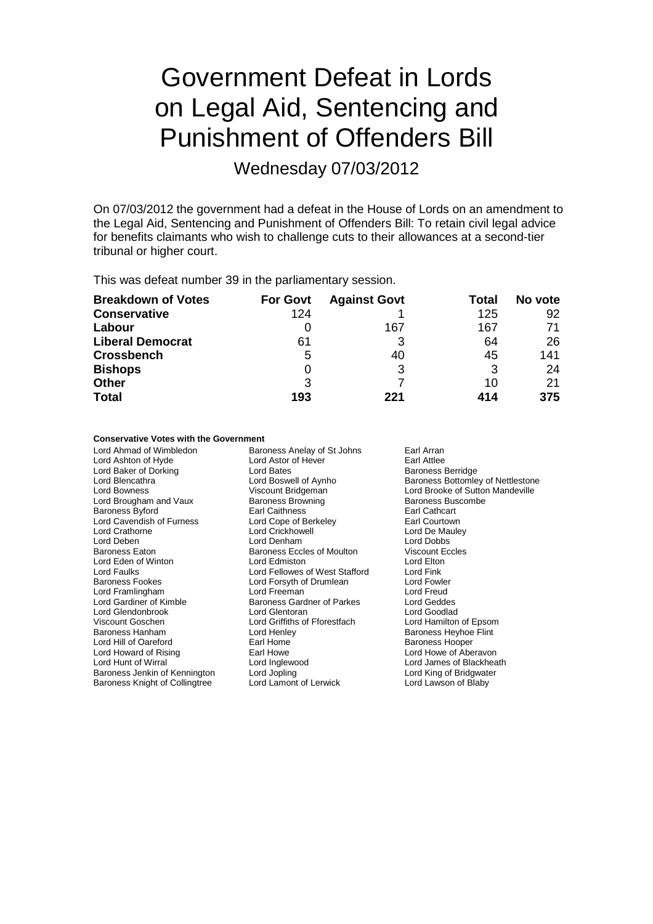# Government Defeat in Lords on Legal Aid, Sentencing and Punishment of Offenders Bill

Wednesday 07/03/2012

On 07/03/2012 the government had a defeat in the House of Lords on an amendment to the Legal Aid, Sentencing and Punishment of Offenders Bill: To retain civil legal advice for benefits claimants who wish to challenge cuts to their allowances at a second-tier tribunal or higher court.

This was defeat number 39 in the parliamentary session.

| <b>Breakdown of Votes</b> | <b>For Govt</b> | <b>Against Govt</b> | Total | No vote |
|---------------------------|-----------------|---------------------|-------|---------|
| <b>Conservative</b>       | 124             |                     | 125   | 92      |
| Labour                    | 0               | 167                 | 167   | 71      |
| <b>Liberal Democrat</b>   | 61              |                     | 64    | 26      |
| <b>Crossbench</b>         | 5               | 40                  | 45    | 141     |
| <b>Bishops</b>            | 0               | 3                   | 3     | 24      |
| <b>Other</b>              | 3               |                     | 10    | 21      |
| <b>Total</b>              | 193             | 221                 | 414   | 375     |

## **Conservative Votes with the Government**

Baroness Anelay of St Johns Earl Arran<br>Lord Astor of Hever Earl Attlee Lord Ashton of Hyde Lord Astor of Hever Hever Earl Attlee<br>
Lord Baker of Dorking Lord Bates<br>
Lord Bates<br>
Lord Bates<br>
Cord Bates<br>
Earl Attlee Lord Baker of Dorking<br>
Lord Blencathra<br>
Lord Boswell of Aynho Lord Blencathra **Lord Boswell of Aynho** Baroness Bottomley of Nettlestone<br>
Lord Bowness **Bottom Bridgeman** Miscount Bridgeman<br>
Lord Brooke of Sutton Mandeville Viscount Bridgeman Lord Brooke of Sutton Mandeville<br>
Baroness Browning<br>
Baroness Buscombe Lord Brougham and Vaux Baroness Browning Baroness Buscomess Buscomess Buscombes Buscombes Buscombes Buscombes Buscombes Buscombes Buscombes Buscombes Buscombes Buscombes Buscombes Buscombes Buscombes Buscombes Buscombes Bu Baroness Byford **Earl Caithness**<br>
Lord Cavendish of Furness Lord Cope of Berkeley **Earl Courtown** Lord Cavendish of Furness Lord Cope of Ber<br>
Lord Crathorne Earl Lord Crickhowell Lord De Mauley Lord Deben Lord Denham Lord Denham Lord Dobbs<br>
Baroness Eaton Baroness Eccles of Moulton Viscount Eccles Baroness Eccles of Moulton Viscount E<br>
Lord Edmiston Cord Cord Elton Lord Eden of Winton **Lord Edmiston** Lord Edmiston **Lord Edmiston** Lord Elton<br>
Lord Fallowes of West Stafford Lord Fink Lord Faulks Lord Fellowes of West Stafford Lord Fink Lord Forsyth of Drumlean Lord Fowler<br>
Lord Freeman Lord Creat Lord Framlingham Lord Freeman Lord Freud Baroness Gardner of Parkes Lord Glendonbrook Lord Glentoran and Lord Goodlad<br>
Lord Goschen Lord Griffiths of Fforestfach Lord Hamilton of Epsom Viscount Goschen Lord Griffiths of Fforestfach<br>
Baroness Hanham Lord Henlev Lord Henley **Baroness Heyhoe Flint**<br>
Earl Home **Baroness Hooper** Lord Hill of Oareford<br>
Lord Howard of Rising<br>
Earl Howe Lord Howard of Rising **Earl Howe Carl Howe Corporation Corporation** Lord Howe of Aberavon<br>
Lord Hunt of Wirral **Corporation Corporation** Lord Lord James of Blackhea Lord Inglewood **Lord Lord James of Blackheath**<br>
Lord Jopling **Lord King of Bridgwater** Baroness Jenkin of Kennington Lord Jopling Cord Cord Cord Lord King of Bridgwate<br>Baroness Knight of Collingtree Lord Lamont of Lerwick Lord Lawson of Blaby Baroness Knight of Collingtree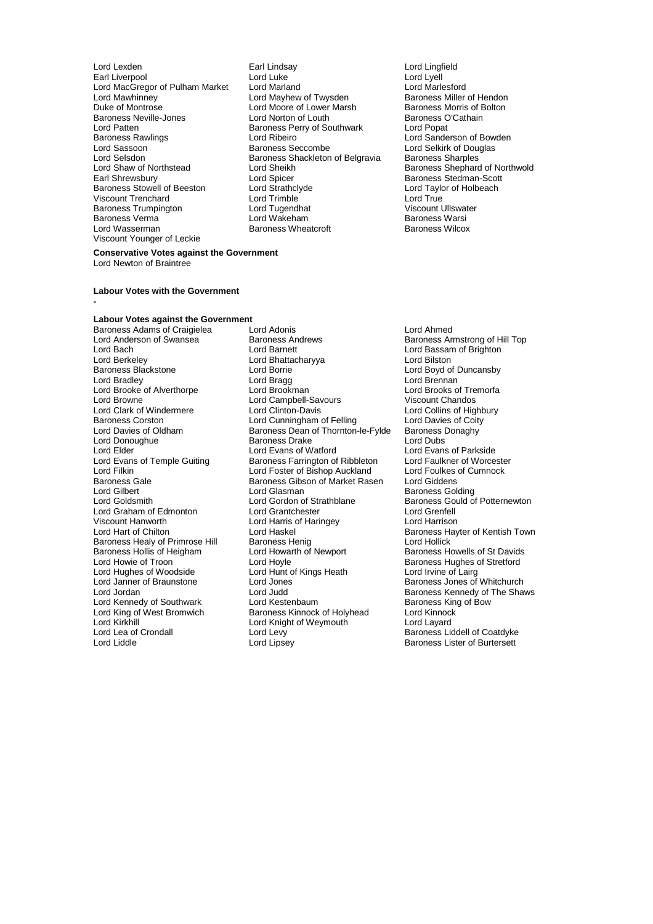- Earl Liverpool **Lord Lord Luke**<br>
Lord MacGregor of Pulham Market Lord Marland<br>
Lord MacGregor of Pulham Market Lord Marland Lord MacGregor of Pulham Market Lord Marland Lord Marlesford Lord Mawhinney Lord Mayhew of Twysden<br>
Duke of Montrose Lord Mayhew of Twysden<br>
Duke of Montrose Lord Moore of Lower Marsh Baroness Morris of Bolton Baroness Neville-Jones **Lord Norton of Louth** Baroness C<br>
Lord Patten **Baroness Perry of Southwark** Lord Popat Lord Patten **Baroness Perry of Southwark Baroness Rawlings Baroness Perry of Southwark** Baroness Rawlings **Lord Ribeiro** Lord Ribeiro **Lord Sanderson of Bowden**<br>
Lord Sassoon **Lord Sexual Sanders** Baroness Seccombe **Lord Selkirk of Douglas** Lord Sassoon **Exercise Seccombe** Lord Selkirk of Douglas<br>
Lord Selsdon **Baroness Shackleton of Belgravia** Baroness Sharoles Lord Selsdon Baroness Shackleton of Belgravia<br>
Baroness Shackleton of Belgravia<br>
Lord Sheikh Lord Shaw of Northstead Lord Sheikh Baroness Shephard of Northwold<br>Earl Shrewsbury Lord Spicer Baroness Stedman-Scott Baroness Stowell of Beeston Lord Strathclyde Cord Taylor Cord Taylor Cord Taylor Cord True<br>
Lord Trimble<br>
Lord Trimble Viscount Trenchard Lord Trimble Lord True Baroness Trumpington **Lord Tugendhat** Communist Communist Viscount Ullswater Baroness Warsi<br>
Lord Wakeham Communist Communist Viscount Ullswater Baroness Verma **Exercise Search State Lord Wakeham** Baroness Warsington Baroness Warsington Baroness Wilcox<br>
Baroness Abreus Baroness Wheatcroft Baroness Wilcox Viscount Younger of Leckie
- Lord Lexden Earl Lindsay Lord Lingfield Lord Moore of Lower Marsh Baroness Morris of E<br>
Lord Norton of Louth Baroness O'Cathain Earl Spicer Early Cord Spicer Baroness Stedman-Scott<br>
Lord Strathclyde Early Lord Taylor of Holbeach Baroness Wheatcroft
	-

#### **Conservative Votes against the Government** Lord Newton of Braintree

#### **Labour Votes with the Government**

#### **-**

### **Labour Votes against the Government**

Lord Berkeley **Lord Bhattacharyya**<br>Baroness Blackstone **Lord Borrie** Lord Browne Lord Campbell-Savours<br>
Lord Clark of Windermere Lord Clinton-Davis Lord Donoughue **Baroness Drake**<br> **Cord Elder** Lord Evans of Watford Viscount Hanworth Lord Harris of Haringey<br>
Lord Hart of Chilton Lord Haskel Baroness Healy of Primrose Hill Baroness Henig<br>Baroness Hollis of Heigham Lord Howarth of Newport Lord Hughes of Woodside Lord Hunt c<br>
Lord Janner of Braunstone Lord Jones Lord Kirkhill **Lord Knight of Weymouth**<br>
Lord Lea of Crondall **Lord Levy** 

Baroness Adams of Craigielea Lord Adonis Lord Ahmed Lord Anderson of Swansea Baroness Andrews Baroness Armstrong of Hill Top<br>
Lord Baroness Andrews Baroness Andrews<br>
Lord Bassam of Brighton Lord Bach **Lord Barnett** Lord Barnett Lord Bassam of Brighton<br>
Lord Berkeley **Lord Barnett** Lord Biston<br>
Lord Biston Lord Borrie **Baroness Blackstone Lord Boyd of Duncansby**<br>
Lord Brennan<br>
Lord Brennan Lord Bradley **Lord Bragg Lord Bradley Cord Brennan**<br>
Lord Brooke of Alverthorpe **Lord Brookman**<br>
Lord Brooke of Alverthorpe **Lord Brookman** Lord Brooke of Alverthorpe Lord Brookman and Lord Brooks of Tremorfacture Lord Brooks of Tremorfacture Lord Brooks of Tremorfacture Lord Brooks of Tremorfacture Lord Brooks of Tremorfacture Lord Brooks of Tremorfacture Lor Lord Clark of Windermere **Lord Clinton-Davis** Lord Collins of Highbury<br>
Baroness Corston **Lord Cunningham** of Felling **Lord Davies of Coity** Baroness Corston **Lord Cunningham of Felling** Lord Davies of Coit<br>
Lord Davies of Oldham **Baroness Dean of Thornton-le-Fylde** Baroness Donaghy Baroness Dean of Thornton-le-Fylde Baroness I<br>Baroness Drake Lord Dubs Lord Elder Temple Guiting Lord Evans of Watford Lord Evans of Parkside<br>Lord Evans of Temple Guiting Baroness Farrington of Ribbleton Lord Faulkner of Worcester Lord Evans of Temple Guiting Baroness Farrington of Ribbleton Lord Faulkner of Worcester<br>Lord Filkin Lord Foster of Bishop Auckland Lord Foulkes of Cumnock Lord Filkin Lord Foster of Bishop Auckland Lord Foulkes<br>
Baroness Gale Cumnock Baroness Gibson of Market Rasen Lord Giddens Baroness Gale Baroness Gibson of Market Rasen<br>Lord Gilbert Lord Glasman Lord Gilbert Lord Gilsman Baroness Golding<br>
Lord Gilbert Lord Gordon of Strathblane Baroness Gould of Lord Gordon of Strathblane Baroness Gould of Potternewton<br>
Lord Grantchester
Lord Grenfell Lord Graham of Edmonton Lord Grantchester Lord Grenfell Lord Haskel **Exercise Chilton Lord Haskel Baroness Hayter of Kentish Town**<br>Baroness Henig **Baroness Hayter Chilton Lord Hollick** Baroness Hollis of Heigham Lord Howarth of Newport Baroness Howells of St Davids<br>
Lord Hoyle Cord Hoyle Cord Hoyle Baroness Hughes of Stretford Lord Hoyle<br>
Lord Hunt of Kings Heath Lord Irvine of Lairg<br>
Lord Irvine of Lairg Lord Janner of Braunstone Lord Jones Baroness Jones Baroness Jones of Whitchurch<br>Lord Jones Lord Judd Baroness Kennedy of The Shar Lord Judd<br>
Lord Kestenbaum<br>
Baroness King of Bow Lord Kennedy of Southwark Lord Kestenbaum Baroness King of West Bromwich Baroness King of West Bromwich Baroness Kinnock Charles Cord Kinnock Lord King of West Bromwich Baroness Kinnock of Holyhead Lord Kinnock<br>
Lord Kirkhill Cord Lord Knight of Weymouth Lord Layard Lord Lea of Crondall Lord Levy Lord Levy Baroness Liddell of Coatdyke<br>
Lord Liddle Lord Lipsey Lord Baroness Lister of Burtersett

Baroness Lister of Burtersett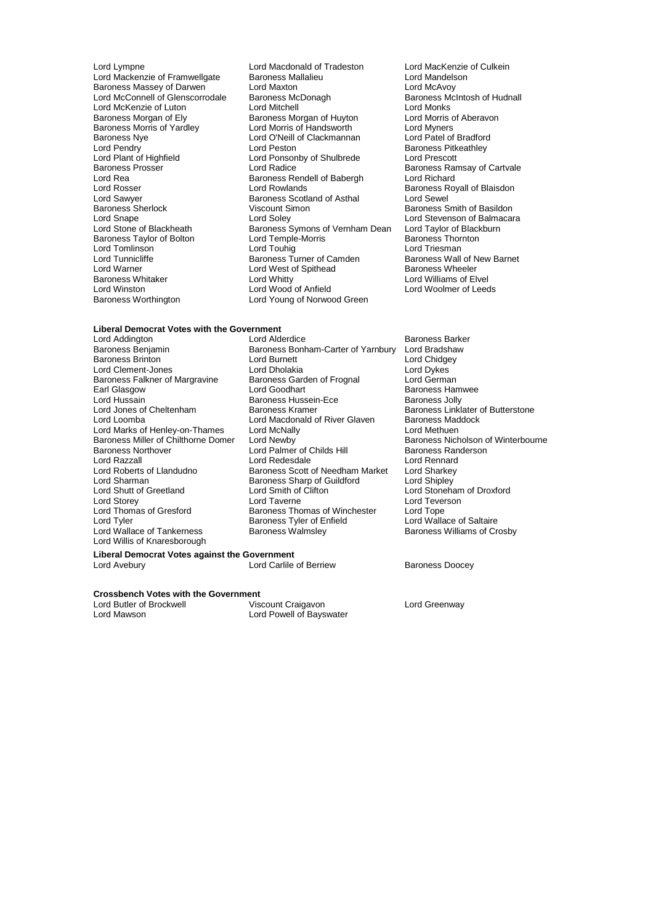Baroness Nye Lord O'Neill of Clackmannan<br>
Lord Peston<br>
Lord Peston Lord Plant of Highfield Lord Ponsonby of Shulbrede<br>
Baroness Prosser Lord Radice Lord Rea Baroness Rendell of Babergh Lord Rosser<br>
Lord Rosser Lord Rowlands Lord Sawyer **Baroness** Scotland of Asthal Baroness Scotland of Asthal Baroness Scotland Search Lord Tomlinson<br>
Lord Tunnicliffe The Communication Cambridge Baroness Turner of Camden Lord Warner Lord West of Spithead<br>
Baroness Whitaker<br>
Lord Whitty

Lord Lympne **Lord Macdonald of Tradeston** Lord MacKenzie of Culkein<br>
Lord Mackenzie of Framwellgate Baroness Mallalieu **Lord Mandelson** Lord Mandelson Lord Mackenzie of Framwellgate Baroness Mallalieu Lord Mandelson Baroness Massey of Darwen Lord Maxton Lord McAvoy Lord McConnell of Glenscorrodale Baroness McDonagh Baroness McIntosh of Hudnall Lord McKenzie of Luton Lord Mitchell<br>
Baroness Moraan of Elv Baroness Moraan of Huvton Lord Morris of Aberavon Baroness Morgan of Huyton Lord Morris of Handsworth Lord Morris of Handsworth Lord Myners Baroness Morris of Yardley Lord Morris of Handsworth Lord Myners<br>Baroness Norris of Yardley Lord O'Neill of Clackmannan Lord Patel of Bradford Lord Pendry **Communist Communist Communist Communist Communist Communist Communist Communist Communist Communist Communist Communist Communist Communist Communist Communist Communist Communist Communist Communist Communist** Baroness Prosser **Exercise Server Control** Lord Radice **Baroness Ramsay of Cartvale**<br>
Lord Rea **Baroness Rendell of Babergh** Lord Richard Lord Rosser **Lord Rowlands** Cord Rowlands **Baroness Royall of Blaisdon**<br>
Lord Sawyer **Baroness Scotland of Asthal** Cord Sewel Baroness Sherlock **Viscount Simon** Baroness Smith of Basildon<br>
Lord Snape **Baroness** Smith of Balmacar<br>
Lord Stevenson of Balmacar Lord Snape Lord Soley Lord Soley Lord Solew Lord Stevenson of Balmacara<br>
Lord Stevenson of Blackheath Baroness Symons of Vernham Dean Lord Taylor of Blackburn Baroness Symons of Vernham Dean Lord Taylor of Black<br>Lord Temple-Morris Baroness Thornton Baroness Taylor of Bolton Lord Temple-Morris **Baroness Thornton Corporation Corporation**<br>
Lord Touhig Lord Touhig<br>
Lord Triesman Lord Tunnicliffe **Baroness Turner of Camden** Baroness Wall of New Barnet<br>
Lord Warner **Baroness Will are Conserved Baroness Wheeler** Baroness Whitaker **Lord Whitty Lord Whitty** Cord Whitty **Lord Williams of Elvel**<br>
Lord Winston **Lord Wood of Anfield** Cord Woolmer of Leed Lord Winston Lord Wood of Anfield Lord Woolmer of Leeds Lord Young of Norwood Green

### **Liberal Democrat Votes with the Government**

Lord Addington **Lord Addington** Lord Alderdice **Baroness Barker**<br>Baroness Beniamin **Baroness Bonham-Carter of Yarnbury** Lord Bradshaw Baroness Falkner of Margravine Baroness Gard<br>Earl Glasgow Lord Goodhart Lord Hussain Baroness Hussein-Ece<br>Lord Jones of Cheltenham Baroness Kramer Baroness Northover Lord Palmer of Childs Hill<br>Lord Razzall Lord Redesdale Lord Sharman **Baroness Sharp of Guildford**<br>
Lord Shutt of Greetland **Baroness Sharp of Clifton** Lord Tyler<br>
Lord Wallace of Tankerness<br>
Baroness Walmsley Lord Willis of Knaresborough

Baroness Bonham-Carter of Yarnbury Lord Bradshaw<br>Lord Burnett Lord Chidgey Baroness Brinton **Carlo Burnett** Lord Burnett Lord Chidge Lord Chidge<br>
Lord Clement-Jones **Lord Download Lord Dholakia** Lord Dykes Lord Clement-Jones **Lord Dholakia**<br>Baroness Falkner of Margravine Baroness Garden of Frognal **Lord German** Earl Glasgow **Earl Access Example 2** Lord Goodhart Class Communication Baroness Hamwee<br>
Lord Hussain **Baroness Hammed Baroness Hussein-Ece** Baroness Jolly Lord Jones of Cheltenham Baroness Kramer Baroness Linklater of Butterstone<br>
Lord Macdonald of River Glaven Baroness Maddock Lord Macdonald of River Glaven Lord Marks of Henley-on-Thames Lord McNally **Lord Methuen**<br>
Baroness Miller of Chilthorne Domer Lord Newby **Lord Methuen** Baroness Nicholson of Winterbourne Baroness Miller of Chilthorne Domer Lord Newby **Baroness Nicholson comer Chilthorne Domer** Lord Palmer of Childs Hill **Baroness Randerson** Lord Razzall Lord Redesdale Lord Rennard Lord Roberts of Llandudno **Baroness Scott of Needham Market** Lord Sharkey<br>Lord Sharman **Baroness Sharp of Guildford** Lord Shipley Lord Storey Lord Taverne Lord Taverne Lord Teverson<br>
Lord Thomas of Gresford Baroness Thomas of Winchester Lord Tope Lord Thomas of Gresford Baroness Thomas of Winchester Lord Tope<br>
Lord Tyler Cord Wallace of Saltaire<br>
Lord Wallace of Saltaire

Lord Stoneham of Droxford Baroness Williams of Crosby

### **Liberal Democrat Votes against the Government** Lord Avebury **Lord Carlile of Berriew** Baroness Doocey

**Crossbench Votes with the Government**<br>
Lord Butler of Brockwell Viscount Craigavon Lord Butler of Brockwell Viscount Craigavon Lord Greenway

Lord Mawson Lord Powell of Bayswater